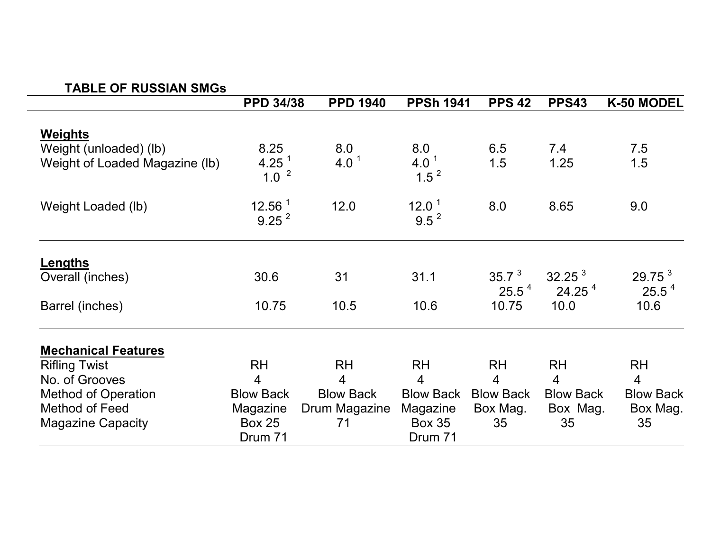## **TABLE OF RUSSIAN SMGs**

|                                                                     | <b>PPD 34/38</b>                        | <b>PPD 1940</b>     | <b>PPSh 1941</b>                     | <b>PPS 42</b>                 | <b>PPS43</b>                             | K-50 MODEL                              |
|---------------------------------------------------------------------|-----------------------------------------|---------------------|--------------------------------------|-------------------------------|------------------------------------------|-----------------------------------------|
| Weights<br>Weight (unloaded) (lb)<br>Weight of Loaded Magazine (lb) | 8.25<br>4.25 $1$                        | 8.0<br>4.0 $1$      | 8.0<br>4.0 <sup>1</sup>              | 6.5<br>1.5                    | 7.4<br>1.25                              | 7.5<br>1.5                              |
|                                                                     | 1.0 <sup>2</sup>                        |                     | $1.5^2$                              |                               |                                          |                                         |
| Weight Loaded (lb)                                                  | 12.56 <sup>1</sup><br>9.25 <sup>2</sup> | 12.0                | $12.0-1$<br>$9.5^2$                  | 8.0                           | 8.65                                     | 9.0                                     |
| <b>Lengths</b><br>Overall (inches)                                  | 30.6                                    | 31                  | 31.1                                 | 35.7 <sup>3</sup><br>$25.5^4$ | 32.25 <sup>3</sup><br>24.25 <sup>4</sup> | 29.75 <sup>3</sup><br>25.5 <sup>4</sup> |
| Barrel (inches)                                                     | 10.75                                   | 10.5                | 10.6                                 | 10.75                         | 10.0                                     | 10.6                                    |
| <b>Mechanical Features</b>                                          |                                         |                     |                                      |                               |                                          |                                         |
| <b>Rifling Twist</b>                                                | <b>RH</b>                               | <b>RH</b>           | <b>RH</b>                            | <b>RH</b>                     | <b>RH</b>                                | <b>RH</b>                               |
| No. of Grooves                                                      | $\overline{4}$                          | $\overline{4}$      | $\overline{4}$                       | $\overline{4}$                | $\overline{4}$                           | $\overline{4}$                          |
| <b>Method of Operation</b><br>Method of Feed                        | <b>Blow Back</b>                        | <b>Blow Back</b>    | <b>Blow Back</b>                     | <b>Blow Back</b>              | <b>Blow Back</b>                         | <b>Blow Back</b>                        |
| <b>Magazine Capacity</b>                                            | Magazine<br><b>Box 25</b><br>Drum 71    | Drum Magazine<br>71 | Magazine<br><b>Box 35</b><br>Drum 71 | Box Mag.<br>35                | Box Mag.<br>35                           | Box Mag.<br>35                          |